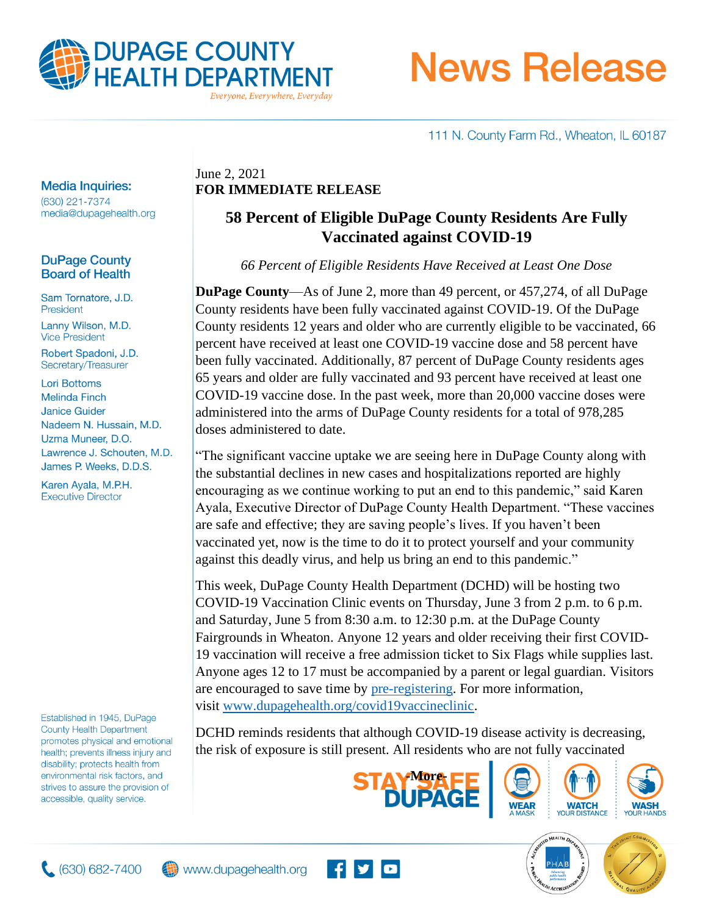

# **News Release**

111 N. County Farm Rd., Wheaton, IL 60187

## **Media Inquiries:**

(630) 221-7374 media@dupagehealth.org

## **DuPage County Board of Health**

Sam Tornatore, J.D. President Lanny Wilson, M.D. **Vice President** 

Robert Spadoni, J.D. Secretary/Treasurer

**Lori Bottoms Melinda Finch Janice Guider** Nadeem N. Hussain, M.D. Uzma Muneer, D.O. Lawrence J. Schouten, M.D. James P. Weeks, D.D.S.

Karen Ayala, M.P.H. **Executive Director** 

Established in 1945, DuPage **County Health Department** promotes physical and emotional health; prevents illness injury and disability; protects health from environmental risk factors, and strives to assure the provision of accessible, quality service.

## June 2, 2021 **FOR IMMEDIATE RELEASE**

## **58 Percent of Eligible DuPage County Residents Are Fully Vaccinated against COVID-19**

*66 Percent of Eligible Residents Have Received at Least One Dose*

**DuPage County**—As of June 2, more than 49 percent, or 457,274, of all DuPage County residents have been fully vaccinated against COVID-19. Of the DuPage County residents 12 years and older who are currently eligible to be vaccinated, 66 percent have received at least one COVID-19 vaccine dose and 58 percent have been fully vaccinated. Additionally, 87 percent of DuPage County residents ages 65 years and older are fully vaccinated and 93 percent have received at least one COVID-19 vaccine dose. In the past week, more than 20,000 vaccine doses were administered into the arms of DuPage County residents for a total of 978,285 doses administered to date.

"The significant vaccine uptake we are seeing here in DuPage County along with the substantial declines in new cases and hospitalizations reported are highly encouraging as we continue working to put an end to this pandemic," said Karen Ayala, Executive Director of DuPage County Health Department. "These vaccines are safe and effective; they are saving people's lives. If you haven't been vaccinated yet, now is the time to do it to protect yourself and your community against this deadly virus, and help us bring an end to this pandemic."

This week, DuPage County Health Department (DCHD) will be hosting two COVID-19 Vaccination Clinic events on Thursday, June 3 from 2 p.m. to 6 p.m. and Saturday, June 5 from 8:30 a.m. to 12:30 p.m. at the DuPage County Fairgrounds in Wheaton. Anyone 12 years and older receiving their first COVID-19 vaccination will receive a free admission ticket to Six Flags while supplies last. Anyone ages 12 to 17 must be accompanied by a parent or legal guardian. Visitors are encouraged to save time by [pre-registering.](http://www.dupagehealth.org/covid19vaccineregistration) For more information, visit [www.dupagehealth.org/covid19vaccineclinic.](http://www.dupagehealth.org/covid19vaccineclinic)

DCHD reminds residents that although COVID-19 disease activity is decreasing, the risk of exposure is still present. All residents who are not fully vaccinated











 $(630) 682 - 7400$ 

www.dupagehealth.org